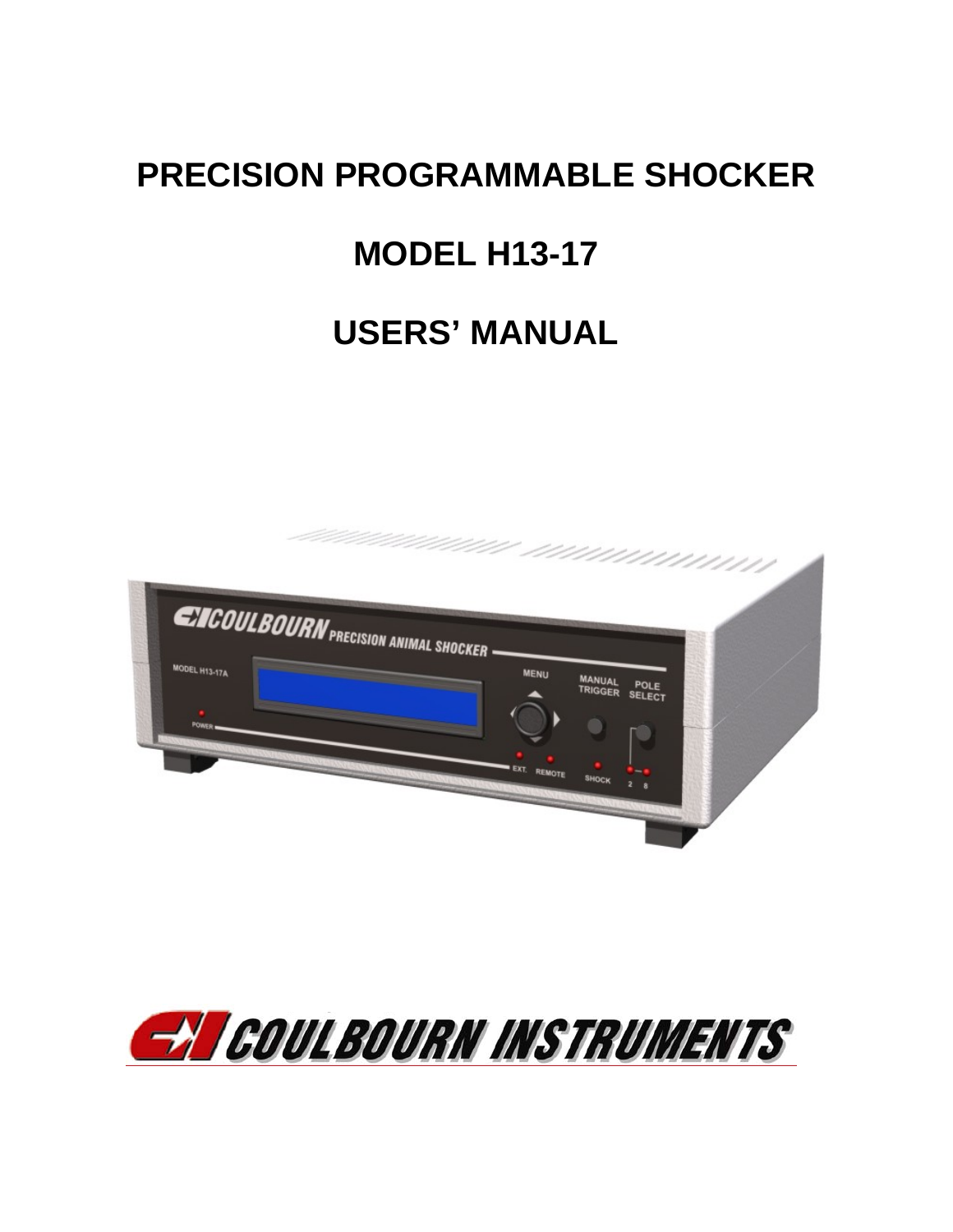# **PRECISION PROGRAMMABLE SHOCKER**

# **MODEL H13-17**

# **USERS' MANUAL**



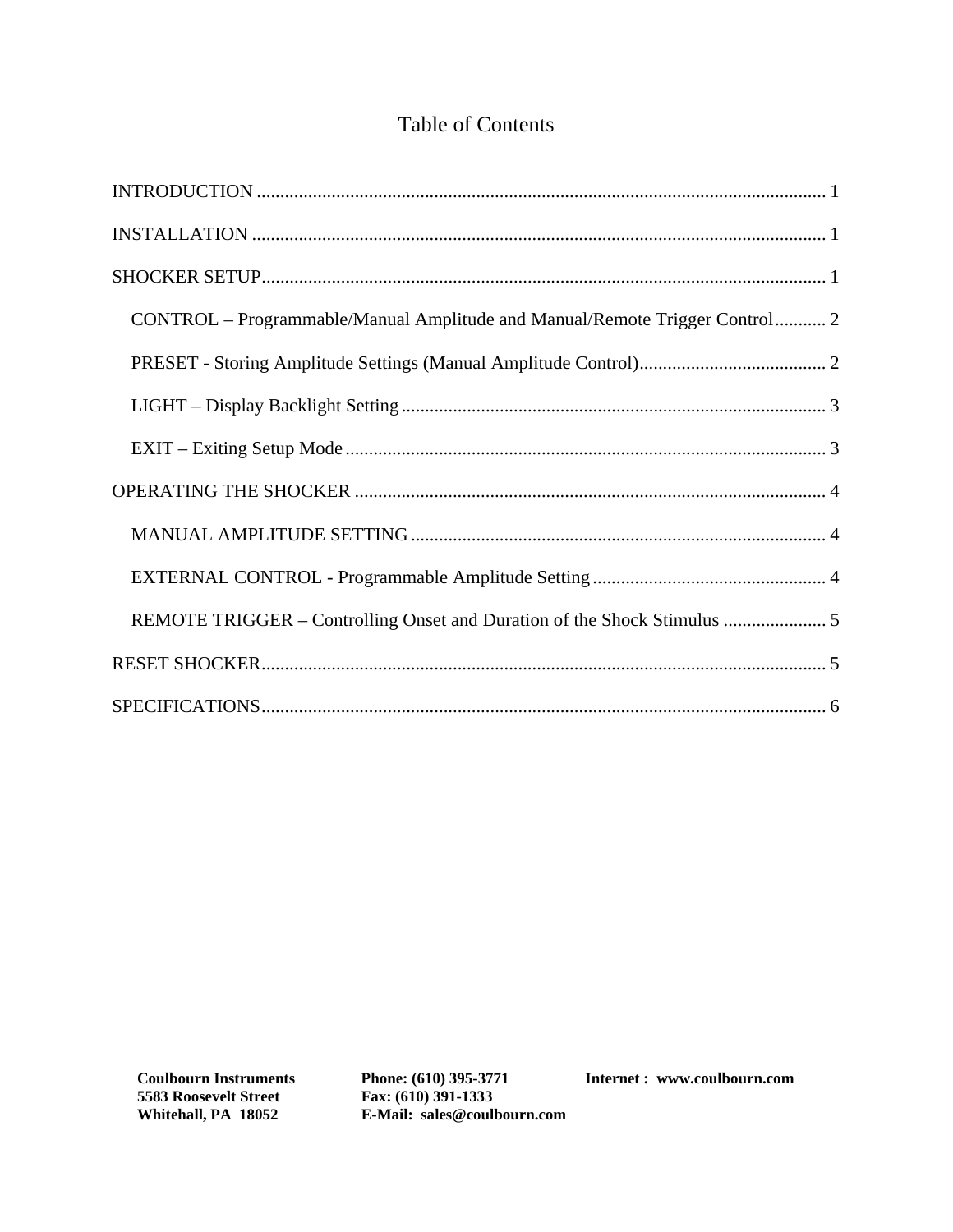#### Table of Contents

| CONTROL – Programmable/Manual Amplitude and Manual/Remote Trigger Control 2 |
|-----------------------------------------------------------------------------|
|                                                                             |
|                                                                             |
|                                                                             |
|                                                                             |
|                                                                             |
|                                                                             |
| REMOTE TRIGGER - Controlling Onset and Duration of the Shock Stimulus  5    |
|                                                                             |
|                                                                             |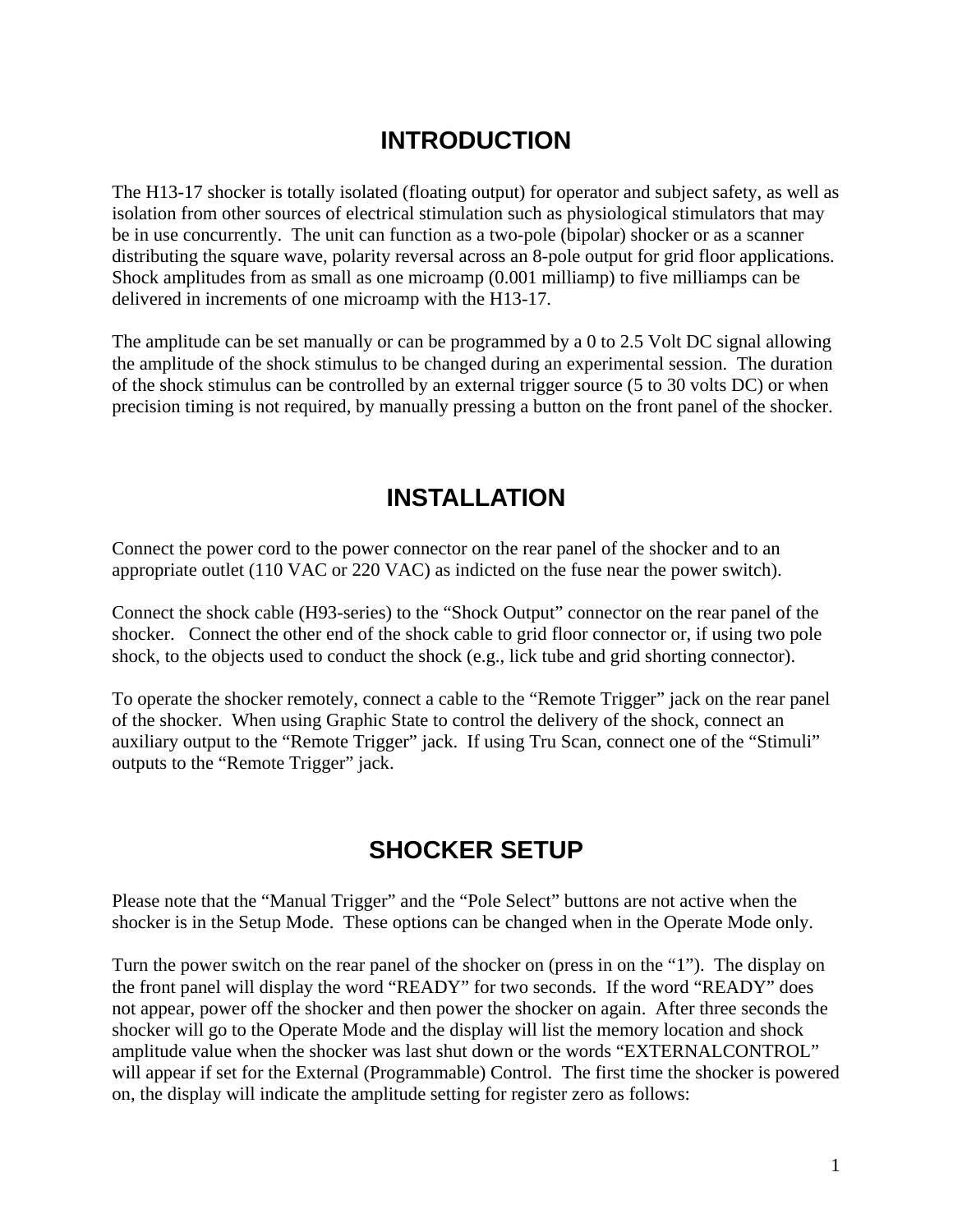# **INTRODUCTION**

The H13-17 shocker is totally isolated (floating output) for operator and subject safety, as well as isolation from other sources of electrical stimulation such as physiological stimulators that may be in use concurrently. The unit can function as a two-pole (bipolar) shocker or as a scanner distributing the square wave, polarity reversal across an 8-pole output for grid floor applications. Shock amplitudes from as small as one microamp (0.001 milliamp) to five milliamps can be delivered in increments of one microamp with the H13-17.

The amplitude can be set manually or can be programmed by a 0 to 2.5 Volt DC signal allowing the amplitude of the shock stimulus to be changed during an experimental session. The duration of the shock stimulus can be controlled by an external trigger source (5 to 30 volts DC) or when precision timing is not required, by manually pressing a button on the front panel of the shocker.

### **INSTALLATION**

Connect the power cord to the power connector on the rear panel of the shocker and to an appropriate outlet (110 VAC or 220 VAC) as indicted on the fuse near the power switch).

Connect the shock cable (H93-series) to the "Shock Output" connector on the rear panel of the shocker. Connect the other end of the shock cable to grid floor connector or, if using two pole shock, to the objects used to conduct the shock (e.g., lick tube and grid shorting connector).

To operate the shocker remotely, connect a cable to the "Remote Trigger" jack on the rear panel of the shocker. When using Graphic State to control the delivery of the shock, connect an auxiliary output to the "Remote Trigger" jack. If using Tru Scan, connect one of the "Stimuli" outputs to the "Remote Trigger" jack.

### **SHOCKER SETUP**

Please note that the "Manual Trigger" and the "Pole Select" buttons are not active when the shocker is in the Setup Mode. These options can be changed when in the Operate Mode only.

Turn the power switch on the rear panel of the shocker on (press in on the "1"). The display on the front panel will display the word "READY" for two seconds. If the word "READY" does not appear, power off the shocker and then power the shocker on again. After three seconds the shocker will go to the Operate Mode and the display will list the memory location and shock amplitude value when the shocker was last shut down or the words "EXTERNALCONTROL" will appear if set for the External (Programmable) Control. The first time the shocker is powered on, the display will indicate the amplitude setting for register zero as follows: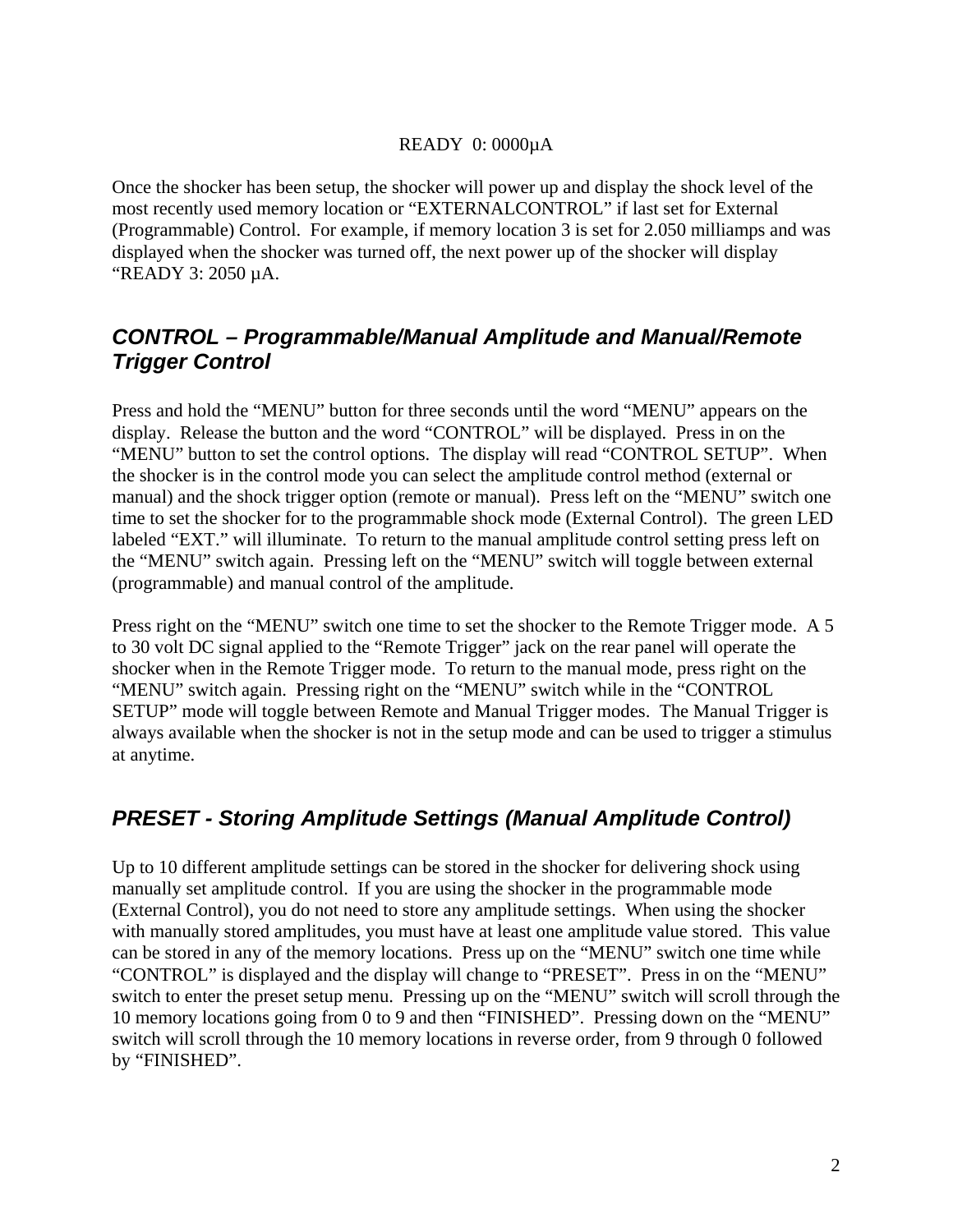#### READY 0: 0000µA

Once the shocker has been setup, the shocker will power up and display the shock level of the most recently used memory location or "EXTERNALCONTROL" if last set for External (Programmable) Control. For example, if memory location 3 is set for 2.050 milliamps and was displayed when the shocker was turned off, the next power up of the shocker will display "READY 3: 2050 µA.

#### *CONTROL – Programmable/Manual Amplitude and Manual/Remote Trigger Control*

Press and hold the "MENU" button for three seconds until the word "MENU" appears on the display. Release the button and the word "CONTROL" will be displayed. Press in on the "MENU" button to set the control options. The display will read "CONTROL SETUP". When the shocker is in the control mode you can select the amplitude control method (external or manual) and the shock trigger option (remote or manual). Press left on the "MENU" switch one time to set the shocker for to the programmable shock mode (External Control). The green LED labeled "EXT." will illuminate. To return to the manual amplitude control setting press left on the "MENU" switch again. Pressing left on the "MENU" switch will toggle between external (programmable) and manual control of the amplitude.

Press right on the "MENU" switch one time to set the shocker to the Remote Trigger mode. A 5 to 30 volt DC signal applied to the "Remote Trigger" jack on the rear panel will operate the shocker when in the Remote Trigger mode. To return to the manual mode, press right on the "MENU" switch again. Pressing right on the "MENU" switch while in the "CONTROL SETUP" mode will toggle between Remote and Manual Trigger modes. The Manual Trigger is always available when the shocker is not in the setup mode and can be used to trigger a stimulus at anytime.

#### *PRESET - Storing Amplitude Settings (Manual Amplitude Control)*

Up to 10 different amplitude settings can be stored in the shocker for delivering shock using manually set amplitude control. If you are using the shocker in the programmable mode (External Control), you do not need to store any amplitude settings. When using the shocker with manually stored amplitudes, you must have at least one amplitude value stored. This value can be stored in any of the memory locations. Press up on the "MENU" switch one time while "CONTROL" is displayed and the display will change to "PRESET". Press in on the "MENU" switch to enter the preset setup menu. Pressing up on the "MENU" switch will scroll through the 10 memory locations going from 0 to 9 and then "FINISHED". Pressing down on the "MENU" switch will scroll through the 10 memory locations in reverse order, from 9 through 0 followed by "FINISHED".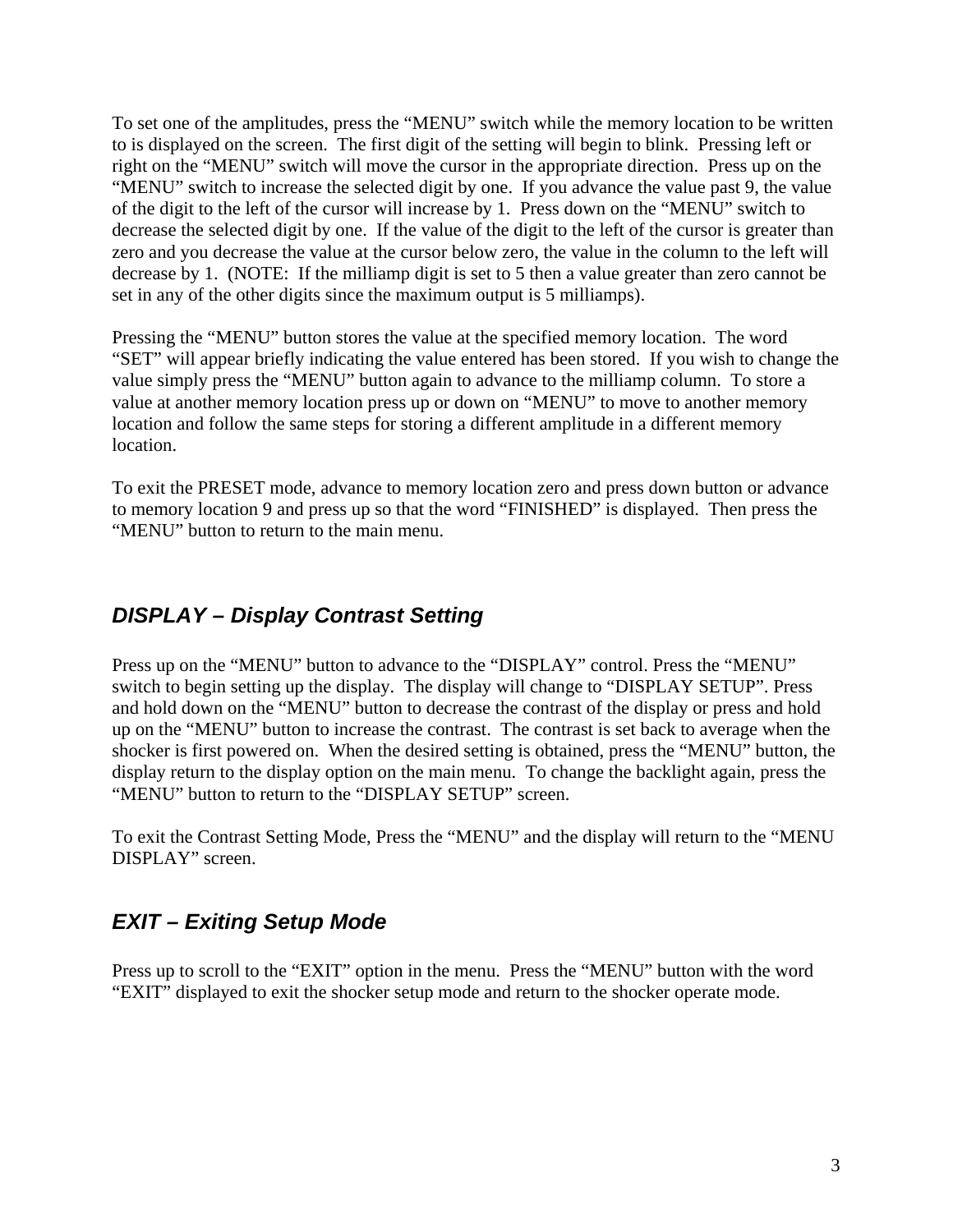To set one of the amplitudes, press the "MENU" switch while the memory location to be written to is displayed on the screen. The first digit of the setting will begin to blink. Pressing left or right on the "MENU" switch will move the cursor in the appropriate direction. Press up on the "MENU" switch to increase the selected digit by one. If you advance the value past 9, the value of the digit to the left of the cursor will increase by 1. Press down on the "MENU" switch to decrease the selected digit by one. If the value of the digit to the left of the cursor is greater than zero and you decrease the value at the cursor below zero, the value in the column to the left will decrease by 1. (NOTE: If the milliamp digit is set to 5 then a value greater than zero cannot be set in any of the other digits since the maximum output is 5 milliamps).

Pressing the "MENU" button stores the value at the specified memory location. The word "SET" will appear briefly indicating the value entered has been stored. If you wish to change the value simply press the "MENU" button again to advance to the milliamp column. To store a value at another memory location press up or down on "MENU" to move to another memory location and follow the same steps for storing a different amplitude in a different memory location.

To exit the PRESET mode, advance to memory location zero and press down button or advance to memory location 9 and press up so that the word "FINISHED" is displayed. Then press the "MENU" button to return to the main menu.

#### *DISPLAY – Display Contrast Setting*

Press up on the "MENU" button to advance to the "DISPLAY" control. Press the "MENU" switch to begin setting up the display. The display will change to "DISPLAY SETUP". Press and hold down on the "MENU" button to decrease the contrast of the display or press and hold up on the "MENU" button to increase the contrast. The contrast is set back to average when the shocker is first powered on. When the desired setting is obtained, press the "MENU" button, the display return to the display option on the main menu. To change the backlight again, press the "MENU" button to return to the "DISPLAY SETUP" screen.

To exit the Contrast Setting Mode, Press the "MENU" and the display will return to the "MENU DISPLAY" screen.

#### *EXIT – Exiting Setup Mode*

Press up to scroll to the "EXIT" option in the menu. Press the "MENU" button with the word "EXIT" displayed to exit the shocker setup mode and return to the shocker operate mode.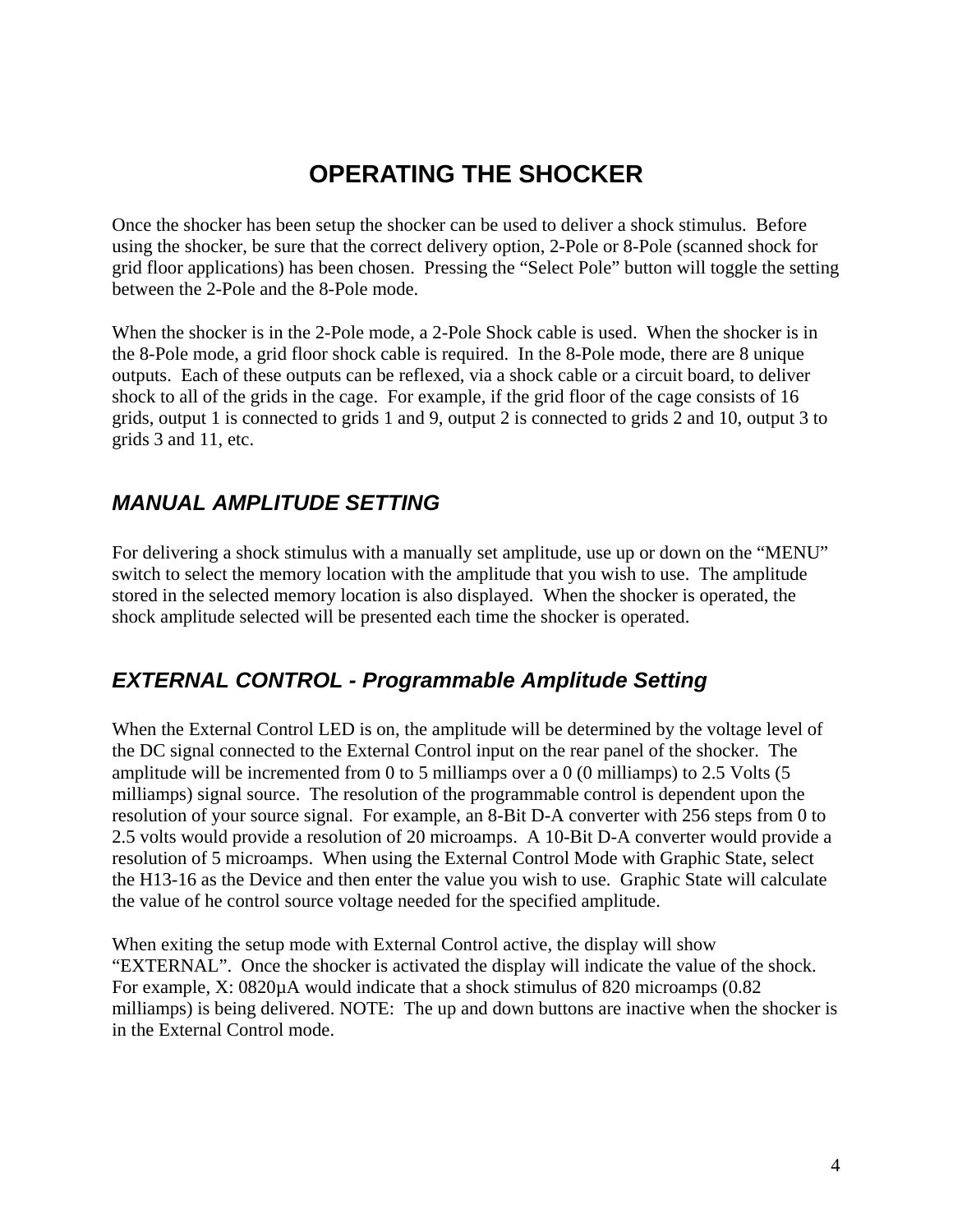# **OPERATING THE SHOCKER**

Once the shocker has been setup the shocker can be used to deliver a shock stimulus. Before using the shocker, be sure that the correct delivery option, 2-Pole or 8-Pole (scanned shock for grid floor applications) has been chosen. Pressing the "Select Pole" button will toggle the setting between the 2-Pole and the 8-Pole mode.

When the shocker is in the 2-Pole mode, a 2-Pole Shock cable is used. When the shocker is in the 8-Pole mode, a grid floor shock cable is required. In the 8-Pole mode, there are 8 unique outputs. Each of these outputs can be reflexed, via a shock cable or a circuit board, to deliver shock to all of the grids in the cage. For example, if the grid floor of the cage consists of 16 grids, output 1 is connected to grids 1 and 9, output 2 is connected to grids 2 and 10, output 3 to grids 3 and 11, etc.

#### *MANUAL AMPLITUDE SETTING*

For delivering a shock stimulus with a manually set amplitude, use up or down on the "MENU" switch to select the memory location with the amplitude that you wish to use. The amplitude stored in the selected memory location is also displayed. When the shocker is operated, the shock amplitude selected will be presented each time the shocker is operated.

#### *EXTERNAL CONTROL - Programmable Amplitude Setting*

When the External Control LED is on, the amplitude will be determined by the voltage level of the DC signal connected to the External Control input on the rear panel of the shocker. The amplitude will be incremented from 0 to 5 milliamps over a 0 (0 milliamps) to 2.5 Volts (5 milliamps) signal source. The resolution of the programmable control is dependent upon the resolution of your source signal. For example, an 8-Bit D-A converter with 256 steps from 0 to 2.5 volts would provide a resolution of 20 microamps. A 10-Bit D-A converter would provide a resolution of 5 microamps. When using the External Control Mode with Graphic State, select the H13-16 as the Device and then enter the value you wish to use. Graphic State will calculate the value of he control source voltage needed for the specified amplitude.

When exiting the setup mode with External Control active, the display will show "EXTERNAL". Once the shocker is activated the display will indicate the value of the shock. For example, X: 0820µA would indicate that a shock stimulus of 820 microamps (0.82 milliamps) is being delivered. NOTE: The up and down buttons are inactive when the shocker is in the External Control mode.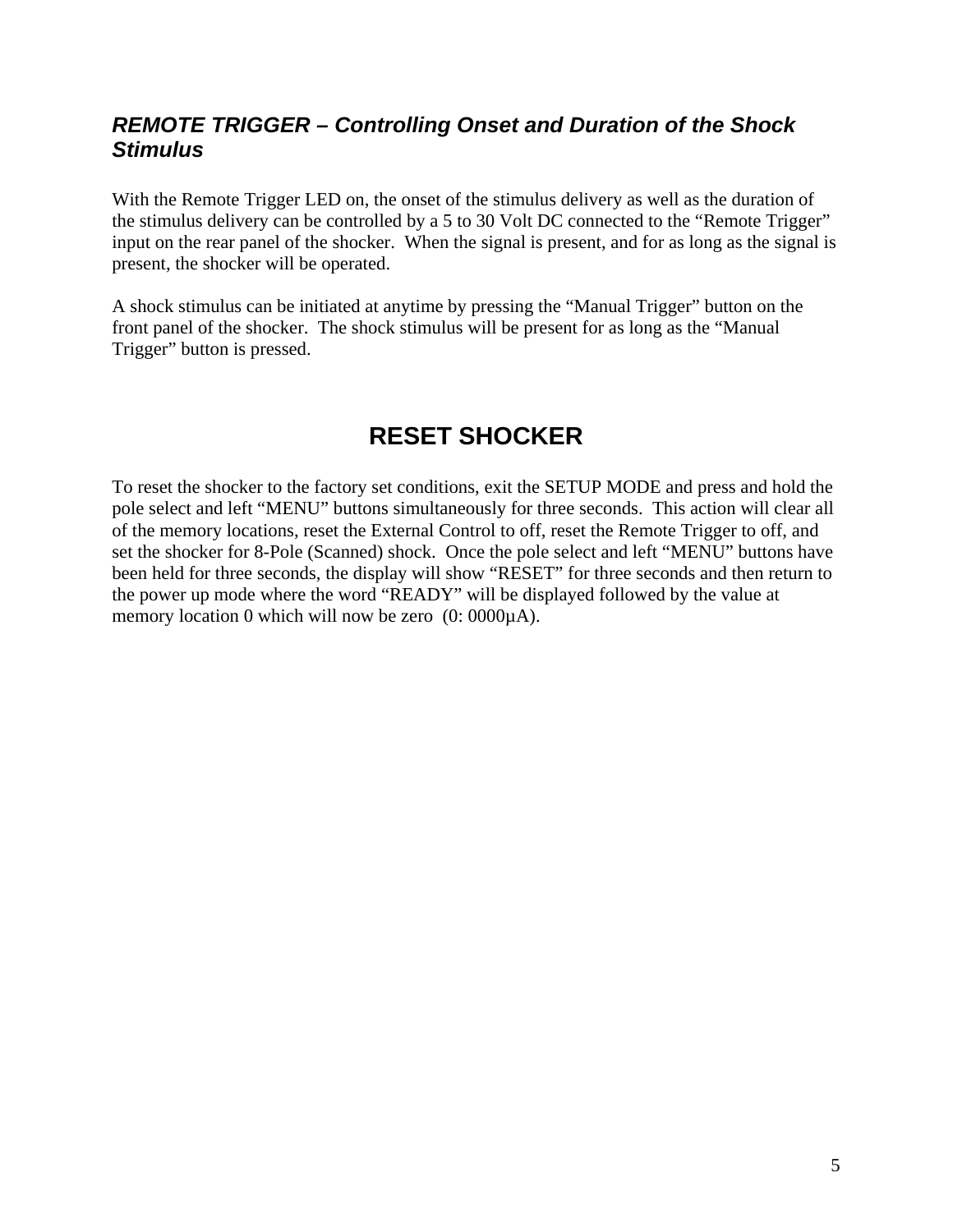#### *REMOTE TRIGGER – Controlling Onset and Duration of the Shock Stimulus*

With the Remote Trigger LED on, the onset of the stimulus delivery as well as the duration of the stimulus delivery can be controlled by a 5 to 30 Volt DC connected to the "Remote Trigger" input on the rear panel of the shocker. When the signal is present, and for as long as the signal is present, the shocker will be operated.

A shock stimulus can be initiated at anytime by pressing the "Manual Trigger" button on the front panel of the shocker. The shock stimulus will be present for as long as the "Manual Trigger" button is pressed.

## **RESET SHOCKER**

To reset the shocker to the factory set conditions, exit the SETUP MODE and press and hold the pole select and left "MENU" buttons simultaneously for three seconds. This action will clear all of the memory locations, reset the External Control to off, reset the Remote Trigger to off, and set the shocker for 8-Pole (Scanned) shock. Once the pole select and left "MENU" buttons have been held for three seconds, the display will show "RESET" for three seconds and then return to the power up mode where the word "READY" will be displayed followed by the value at memory location 0 which will now be zero (0: 0000 $\mu$ A).